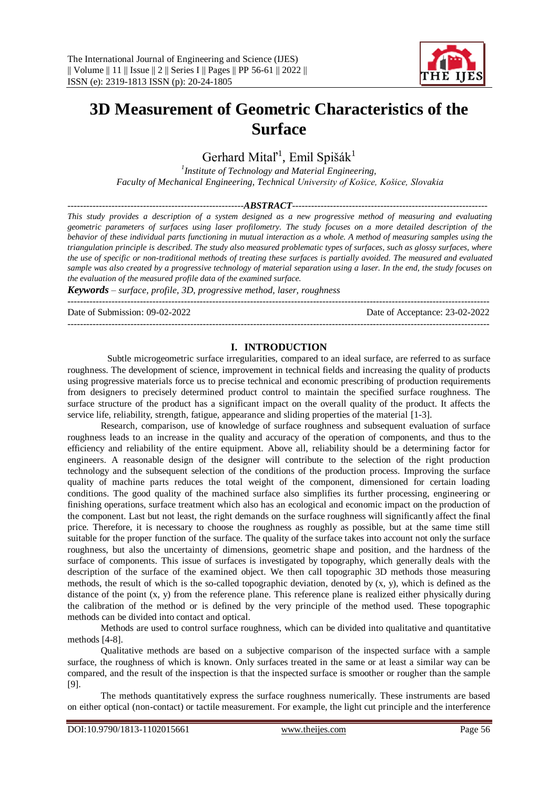

# **3D Measurement of Geometric Characteristics of the Surface**

Gerhard Mital<sup>1</sup>, Emil Spišák<sup>1</sup>

*1 Institute of Technology and Material Engineering, Faculty of Mechanical Engineering, Technical University of Košice, Košice, Slovakia*

#### *--------------------------------------------------------ABSTRACT--------------------------------------------------------------*

*This study provides a description of a system designed as a new progressive method of measuring and evaluating geometric parameters of surfaces using laser profilometry. The study focuses on a more detailed description of the behavior of these individual parts functioning in mutual interaction as a whole. A method of measuring samples using the triangulation principle is described. The study also measured problematic types of surfaces, such as glossy surfaces, where the use of specific or non-traditional methods of treating these surfaces is partially avoided. The measured and evaluated sample was also created by a progressive technology of material separation using a laser. In the end, the study focuses on the evaluation of the measured profile data of the examined surface.*

*Keywords – surface, profile, 3D, progressive method, laser, roughness*

Date of Submission: 09-02-2022 Date of Acceptance: 23-02-2022

#### **I. INTRODUCTION**

--------------------------------------------------------------------------------------------------------------------------------------

--------------------------------------------------------------------------------------------------------------------------------------

Subtle microgeometric surface irregularities, compared to an ideal surface, are referred to as surface roughness. The development of science, improvement in technical fields and increasing the quality of products using progressive materials force us to precise technical and economic prescribing of production requirements from designers to precisely determined product control to maintain the specified surface roughness. The surface structure of the product has a significant impact on the overall quality of the product. It affects the service life, reliability, strength, fatigue, appearance and sliding properties of the material [1-3].

Research, comparison, use of knowledge of surface roughness and subsequent evaluation of surface roughness leads to an increase in the quality and accuracy of the operation of components, and thus to the efficiency and reliability of the entire equipment. Above all, reliability should be a determining factor for engineers. A reasonable design of the designer will contribute to the selection of the right production technology and the subsequent selection of the conditions of the production process. Improving the surface quality of machine parts reduces the total weight of the component, dimensioned for certain loading conditions. The good quality of the machined surface also simplifies its further processing, engineering or finishing operations, surface treatment which also has an ecological and economic impact on the production of the component. Last but not least, the right demands on the surface roughness will significantly affect the final price. Therefore, it is necessary to choose the roughness as roughly as possible, but at the same time still suitable for the proper function of the surface. The quality of the surface takes into account not only the surface roughness, but also the uncertainty of dimensions, geometric shape and position, and the hardness of the surface of components. This issue of surfaces is investigated by topography, which generally deals with the description of the surface of the examined object. We then call topographic 3D methods those measuring methods, the result of which is the so-called topographic deviation, denoted by  $(x, y)$ , which is defined as the distance of the point (x, y) from the reference plane. This reference plane is realized either physically during the calibration of the method or is defined by the very principle of the method used. These topographic methods can be divided into contact and optical.

Methods are used to control surface roughness, which can be divided into qualitative and quantitative methods [4-8].

Qualitative methods are based on a subjective comparison of the inspected surface with a sample surface, the roughness of which is known. Only surfaces treated in the same or at least a similar way can be compared, and the result of the inspection is that the inspected surface is smoother or rougher than the sample [9].

The methods quantitatively express the surface roughness numerically. These instruments are based on either optical (non-contact) or tactile measurement. For example, the light cut principle and the interference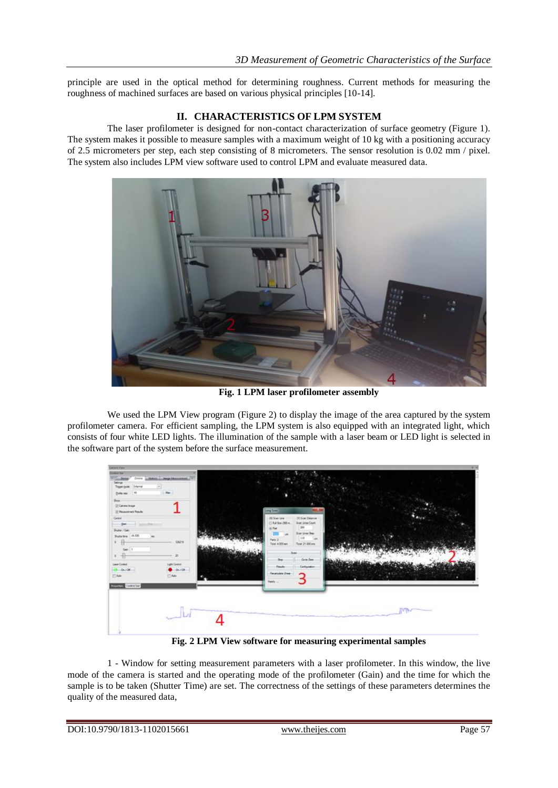principle are used in the optical method for determining roughness. Current methods for measuring the roughness of machined surfaces are based on various physical principles [10-14].

## **II. CHARACTERISTICS OF LPM SYSTEM**

The laser profilometer is designed for non-contact characterization of surface geometry (Figure 1). The system makes it possible to measure samples with a maximum weight of 10 kg with a positioning accuracy of 2.5 micrometers per step, each step consisting of 8 micrometers. The sensor resolution is 0.02 mm / pixel. The system also includes LPM view software used to control LPM and evaluate measured data.



**Fig. 1 LPM laser profilometer assembly**

We used the LPM View program (Figure 2) to display the image of the area captured by the system profilometer camera. For efficient sampling, the LPM system is also equipped with an integrated light, which consists of four white LED lights. The illumination of the sample with a laser beam or LED light is selected in the software part of the system before the surface measurement.



**Fig. 2 LPM View software for measuring experimental samples**

1 - Window for setting measurement parameters with a laser profilometer. In this window, the live mode of the camera is started and the operating mode of the profilometer (Gain) and the time for which the sample is to be taken (Shutter Time) are set. The correctness of the settings of these parameters determines the quality of the measured data,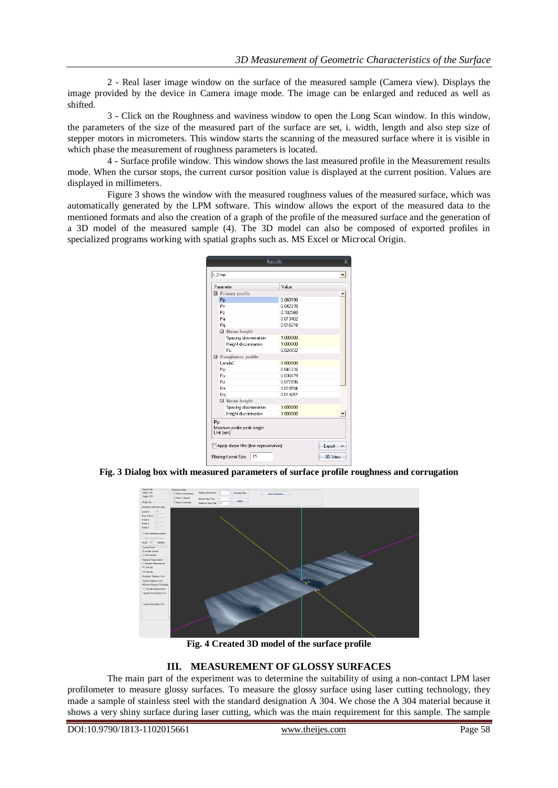2 - Real laser image window on the surface of the measured sample (Camera view). Displays the image provided by the device in Camera image mode. The image can be enlarged and reduced as well as shifted.

3 - Click on the Roughness and waviness window to open the Long Scan window. In this window, the parameters of the size of the measured part of the surface are set, i. width, length and also step size of stepper motors in micrometers. This window starts the scanning of the measured surface where it is visible in which phase the measurement of roughness parameters is located.

4 - Surface profile window. This window shows the last measured profile in the Measurement results mode. When the cursor stops, the current cursor position value is displayed at the current position. Values are displayed in millimeters.

Figure 3 shows the window with the measured roughness values of the measured surface, which was automatically generated by the LPM software. This window allows the export of the measured data to the mentioned formats and also the creation of a graph of the profile of the measured surface and the generation of a 3D model of the measured sample (4). The 3D model can also be composed of exported profiles in specialized programs working with spatial graphs such as. MS Excel or Microcal Origin.

|                                         |                     |                             | Results  | × |
|-----------------------------------------|---------------------|-----------------------------|----------|---|
|                                         | 1.2 <sub>mm</sub>   |                             |          |   |
| Parameter                               |                     |                             | Value    |   |
|                                         |                     | □ Primary profile           |          |   |
|                                         | Pp                  |                             | 0.060190 |   |
|                                         | Pv                  |                             | 0.042370 |   |
|                                         | P <sub>2</sub>      |                             | 0.102560 |   |
|                                         | Pa                  |                             | 0.013402 |   |
|                                         | Pq                  |                             | 0.016218 |   |
|                                         |                     | □ Mean height               |          |   |
|                                         |                     | Spacing discrimination      | 1.000000 |   |
|                                         |                     | Height discrimination       | 1.000000 |   |
|                                         |                     | Pc.                         | 0.024832 |   |
|                                         | □ Roughness profile |                             |          |   |
|                                         |                     | LandaC                      | 0.800000 |   |
|                                         | Rp                  |                             | 0.041216 |   |
|                                         | <b>Bv</b>           |                             | 0.036679 |   |
|                                         | R <sub>2</sub>      |                             | 0.077896 |   |
|                                         | Ba                  |                             | 0.010594 |   |
|                                         | Ro                  |                             | 0.013657 |   |
|                                         |                     | 日 Mean height               |          |   |
|                                         |                     | Spacing discrimination      | 1.000000 |   |
|                                         |                     | Height discrimination       |          |   |
| Pp                                      |                     | Maximum profile peak height | 1.000000 |   |
|                                         |                     | Unit [mm]                   |          |   |
| Apply shape filter (line approximation) | Export              |                             |          |   |
| 15<br>Filtering Kernel Size<br>3D View  |                     |                             |          |   |
|                                         |                     |                             |          |   |

**Fig. 3 Dialog box with measured parameters of surface profile roughness and corrugation**



**Fig. 4 Created 3D model of the surface profile**

#### **III. MEASUREMENT OF GLOSSY SURFACES**

The main part of the experiment was to determine the suitability of using a non-contact LPM laser profilometer to measure glossy surfaces. To measure the glossy surface using laser cutting technology, they made a sample of stainless steel with the standard designation A 304. We chose the A 304 material because it shows a very shiny surface during laser cutting, which was the main requirement for this sample. The sample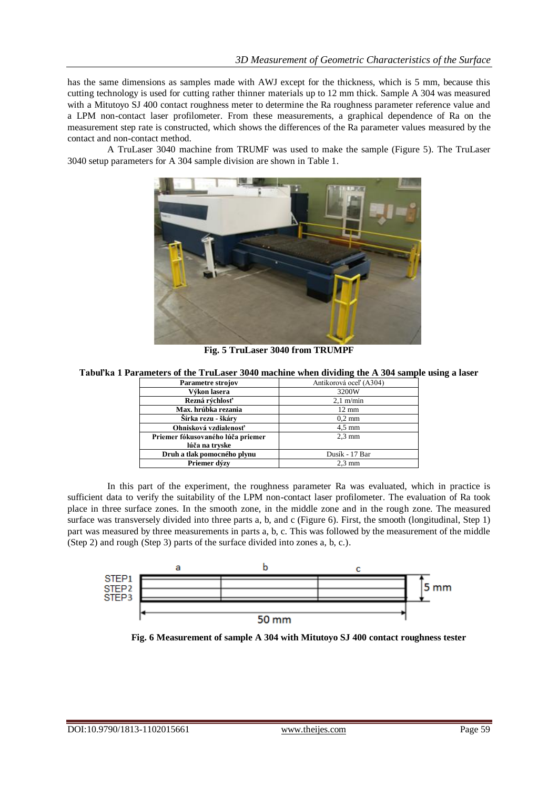has the same dimensions as samples made with AWJ except for the thickness, which is 5 mm, because this cutting technology is used for cutting rather thinner materials up to 12 mm thick. Sample A 304 was measured with a Mitutoyo SJ 400 contact roughness meter to determine the Ra roughness parameter reference value and a LPM non-contact laser profilometer. From these measurements, a graphical dependence of Ra on the measurement step rate is constructed, which shows the differences of the Ra parameter values measured by the contact and non-contact method.

A TruLaser 3040 machine from TRUMF was used to make the sample (Figure 5). The TruLaser 3040 setup parameters for A 304 sample division are shown in Table 1.



**Fig. 5 TruLaser 3040 from TRUMPF**

**Tabuľka 1 Parameters of the TruLaser 3040 machine when dividing the A 304 sample using a laser**

| Parametre strojov                 | Antikorová oceľ (A304) |  |
|-----------------------------------|------------------------|--|
| Výkon lasera                      | 3200W                  |  |
| Rezná rýchlosť                    | $2,1$ m/min            |  |
| Max. hrúbka rezania               | $12 \text{ mm}$        |  |
| Šírka rezu - škáry                | $0.2 \text{ mm}$       |  |
| Ohnisková vzdialenosť             | $4.5 \text{ mm}$       |  |
| Priemer fókusovaného lúča priemer | $2.3 \text{ mm}$       |  |
| lúča na tryske                    |                        |  |
| Druh a tlak pomocného plynu       | Dusík - 17 Bar         |  |
| Priemer dýzy                      | $2.3 \text{ mm}$       |  |

In this part of the experiment, the roughness parameter Ra was evaluated, which in practice is sufficient data to verify the suitability of the LPM non-contact laser profilometer. The evaluation of Ra took place in three surface zones. In the smooth zone, in the middle zone and in the rough zone. The measured surface was transversely divided into three parts a, b, and c (Figure 6). First, the smooth (longitudinal, Step 1) part was measured by three measurements in parts a, b, c. This was followed by the measurement of the middle (Step 2) and rough (Step 3) parts of the surface divided into zones a, b, c.).



**Fig. 6 Measurement of sample A 304 with Mitutoyo SJ 400 contact roughness tester**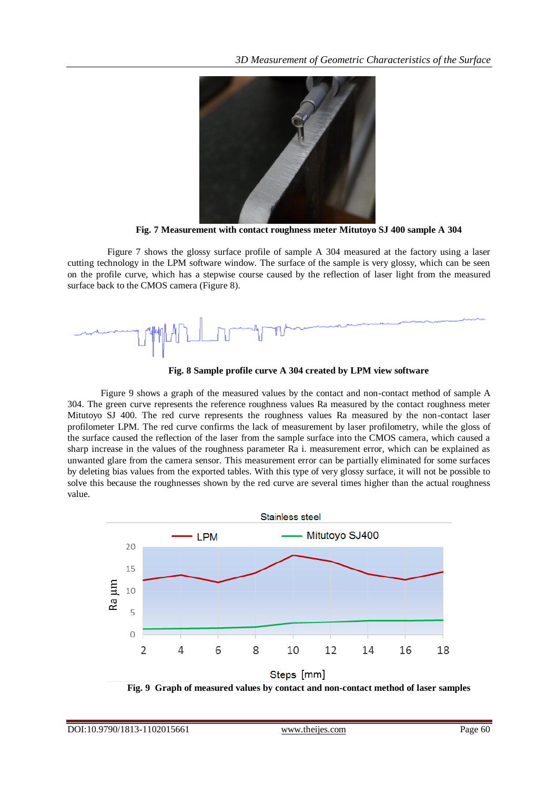

**Fig. 7 Measurement with contact roughness meter Mitutoyo SJ 400 sample A 304**

Figure 7 shows the glossy surface profile of sample A 304 measured at the factory using a laser cutting technology in the LPM software window. The surface of the sample is very glossy, which can be seen on the profile curve, which has a stepwise course caused by the reflection of laser light from the measured surface back to the CMOS camera (Figure 8).



**Fig. 8 Sample profile curve A 304 created by LPM view software**

Figure 9 shows a graph of the measured values by the contact and non-contact method of sample A 304. The green curve represents the reference roughness values Ra measured by the contact roughness meter Mitutoyo SJ 400. The red curve represents the roughness values Ra measured by the non-contact laser profilometer LPM. The red curve confirms the lack of measurement by laser profilometry, while the gloss of the surface caused the reflection of the laser from the sample surface into the CMOS camera, which caused a sharp increase in the values of the roughness parameter Ra i. measurement error, which can be explained as unwanted glare from the camera sensor. This measurement error can be partially eliminated for some surfaces by deleting bias values from the exported tables. With this type of very glossy surface, it will not be possible to solve this because the roughnesses shown by the red curve are several times higher than the actual roughness value.